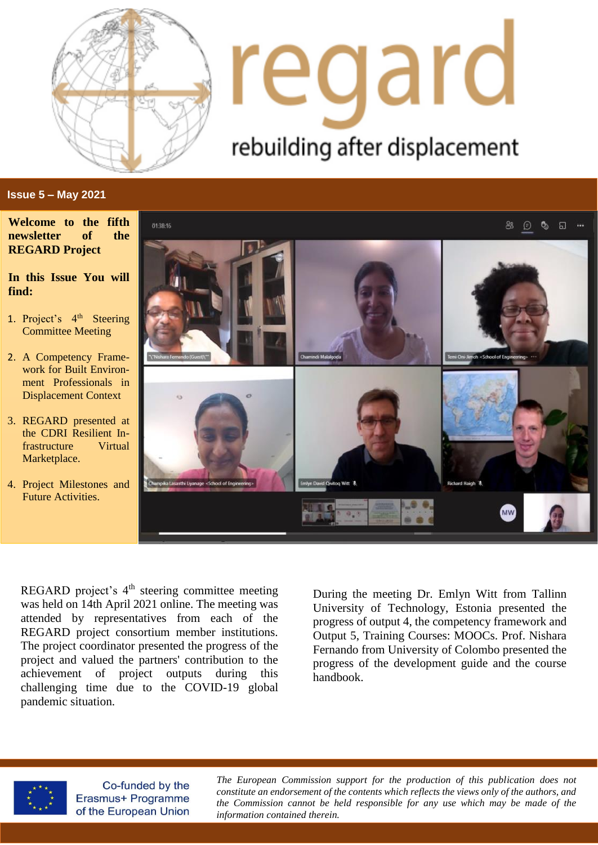

# regard rebuilding after displacement

## **Issue 5 – May 2021**

**Welcome to the fifth newsletter of the REGARD Project**

**In this Issue You will find:**

- 1. Project's 4<sup>th</sup> Steering Committee Meeting
- 2. A Competency Framework for Built Environment Professionals in Displacement Context
- 3. REGARD presented at the CDRI Resilient Infrastructure Virtual Marketplace.
- 4. Project Milestones and Future Activities.



REGARD project's 4<sup>th</sup> steering committee meeting was held on 14th April 2021 online. The meeting was attended by representatives from each of the REGARD project consortium member institutions. The project coordinator presented the progress of the project and valued the partners' contribution to the achievement of project outputs during this challenging time due to the COVID-19 global pandemic situation.

During the meeting Dr. Emlyn Witt from Tallinn University of Technology, Estonia presented the progress of output 4, the competency framework and Output 5, Training Courses: MOOCs. Prof. Nishara Fernando from University of Colombo presented the progress of the development guide and the course handbook.



Co-funded by the Erasmus+ Programme of the European Union

*The European Commission support for the production of this publication does not constitute an endorsement of the contents which reflects the views only of the authors, and the Commission cannot be held responsible for any use which may be made of the information contained therein.*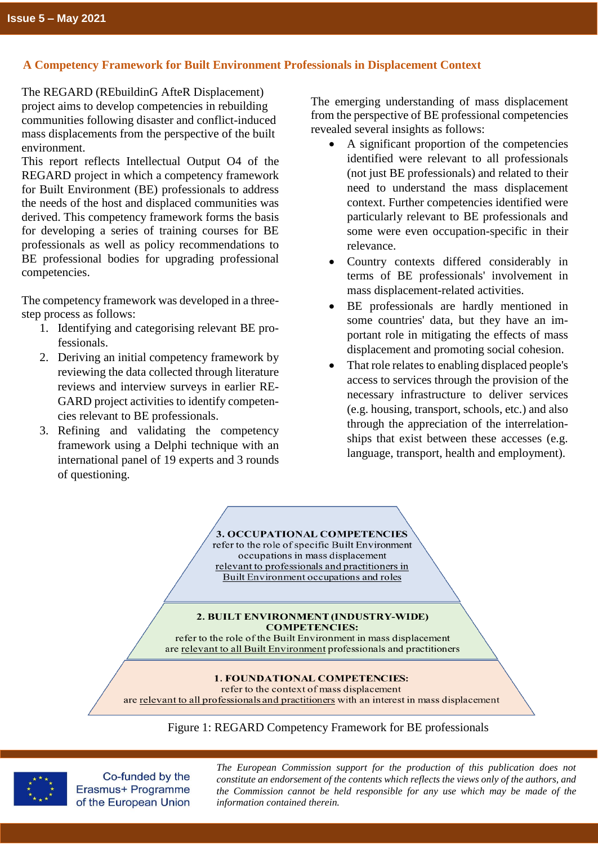# **A Competency Framework for Built Environment Professionals in Displacement Context**

The REGARD (REbuildinG AfteR Displacement) project aims to develop competencies in rebuilding communities following disaster and conflict-induced mass displacements from the perspective of the built environment.

This report reflects Intellectual Output O4 of the REGARD project in which a competency framework for Built Environment (BE) professionals to address the needs of the host and displaced communities was derived. This competency framework forms the basis for developing a series of training courses for BE professionals as well as policy recommendations to BE professional bodies for upgrading professional competencies.

The competency framework was developed in a threestep process as follows:

- 1. Identifying and categorising relevant BE professionals.
- 2. Deriving an initial competency framework by reviewing the data collected through literature reviews and interview surveys in earlier RE-GARD project activities to identify competencies relevant to BE professionals.
- 3. Refining and validating the competency framework using a Delphi technique with an international panel of 19 experts and 3 rounds of questioning.

The emerging understanding of mass displacement from the perspective of BE professional competencies revealed several insights as follows:

- A significant proportion of the competencies identified were relevant to all professionals (not just BE professionals) and related to their need to understand the mass displacement context. Further competencies identified were particularly relevant to BE professionals and some were even occupation-specific in their relevance.
- Country contexts differed considerably in terms of BE professionals' involvement in mass displacement-related activities.
- BE professionals are hardly mentioned in some countries' data, but they have an important role in mitigating the effects of mass displacement and promoting social cohesion.
- That role relates to enabling displaced people's access to services through the provision of the necessary infrastructure to deliver services (e.g. housing, transport, schools, etc.) and also through the appreciation of the interrelationships that exist between these accesses (e.g. language, transport, health and employment).

#### 3. OCCUPATIONAL COMPETENCIES refer to the role of specific Built Environment occupations in mass displacement relevant to professionals and practitioners in

Built Environment occupations and roles

#### 2. BUILT ENVIRONMENT (INDUSTRY-WIDE) **COMPETENCIES:**

refer to the role of the Built Environment in mass displacement are relevant to all Built Environment professionals and practitioners

### 1. FOUNDATIONAL COMPETENCIES:

refer to the context of mass displacement are relevant to all professionals and practitioners with an interest in mass displacement

Figure 1: REGARD Competency Framework for BE professionals



Co-funded by the Erasmus+ Programme of the European Union

*The European Commission support for the production of this publication does not constitute an endorsement of the contents which reflects the views only of the authors, and the Commission cannot be held responsible for any use which may be made of the information contained therein.*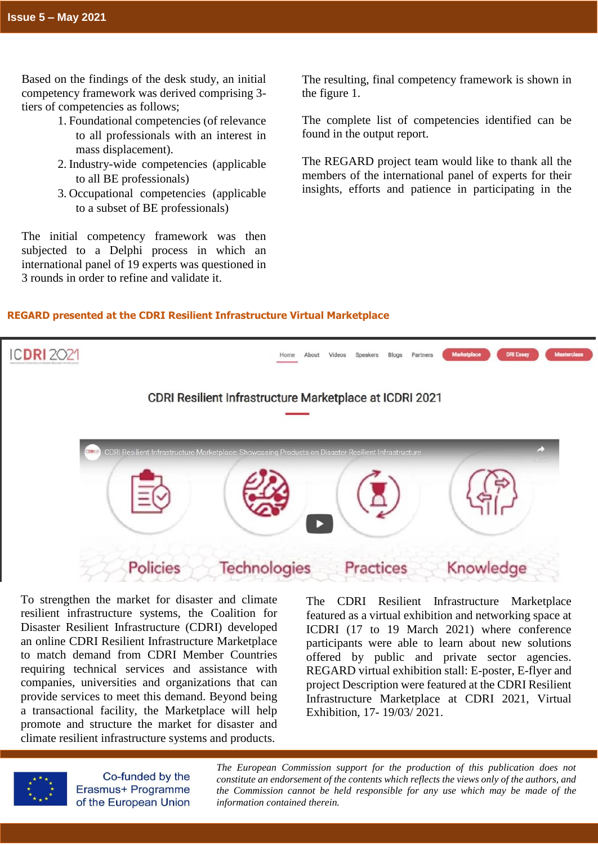Based on the findings of the desk study, an initial competency framework was derived comprising 3 tiers of competencies as follows;

- 1. Foundational competencies (of relevance to all professionals with an interest in mass displacement).
- 2. Industry-wide competencies (applicable to all BE professionals)
- 3. Occupational competencies (applicable to a subset of BE professionals)

The initial competency framework was then subjected to a Delphi process in which an international panel of 19 experts was questioned in 3 rounds in order to refine and validate it.

The resulting, final competency framework is shown in the figure 1.

The complete list of competencies identified can be found in the output report.

The REGARD project team would like to thank all the members of the international panel of experts for their insights, efforts and patience in participating in the

# **REGARD presented at the CDRI Resilient Infrastructure Virtual Marketplace**



To strengthen the market for disaster and climate resilient infrastructure systems, the Coalition for Disaster Resilient Infrastructure (CDRI) developed an online CDRI Resilient Infrastructure Marketplace to match demand from CDRI Member Countries requiring technical services and assistance with companies, universities and organizations that can provide services to meet this demand. Beyond being a transactional facility, the Marketplace will help promote and structure the market for disaster and climate resilient infrastructure systems and products.

The CDRI Resilient Infrastructure Marketplace featured as a virtual exhibition and networking space at ICDRI (17 to 19 March 2021) where conference participants were able to learn about new solutions offered by public and private sector agencies. REGARD virtual exhibition stall: E-poster, E-flyer and project Description were featured at the CDRI Resilient Infrastructure Marketplace at CDRI 2021, Virtual Exhibition, 17- 19/03/ 2021.



Co-funded by the Erasmus+ Programme of the European Union

*The European Commission support for the production of this publication does not constitute an endorsement of the contents which reflects the views only of the authors, and the Commission cannot be held responsible for any use which may be made of the information contained therein.*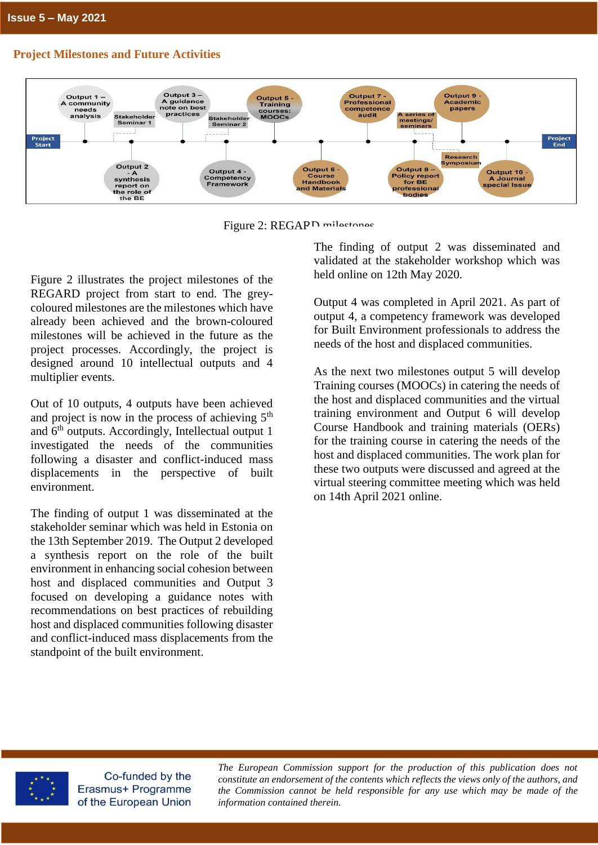# **Project Milestones and Future Activities**



Figure 2: REGARD milestones

Figure 2 illustrates the project milestones of the REGARD project from start to end. The greycoloured milestones are the milestones which have already been achieved and the brown-coloured milestones will be achieved in the future as the project processes. Accordingly, the project is designed around 10 intellectual outputs and 4 multiplier events.

Out of 10 outputs, 4 outputs have been achieved and project is now in the process of achieving  $5<sup>th</sup>$ and  $6<sup>th</sup>$  outputs. Accordingly, Intellectual output 1 investigated the needs of the communities following a disaster and conflict-induced mass displacements in the perspective of built environment.

The finding of output 1 was disseminated at the stakeholder seminar which was held in Estonia on the 13th September 2019. The Output 2 developed a synthesis report on the role of the built environment in enhancing social cohesion between host and displaced communities and Output 3 focused on developing a guidance notes with recommendations on best practices of rebuilding host and displaced communities following disaster and conflict-induced mass displacements from the standpoint of the built environment.

The finding of output 2 was disseminated and validated at the stakeholder workshop which was held online on 12th May 2020.

Output 4 was completed in April 2021. As part of output 4, a competency framework was developed for Built Environment professionals to address the needs of the host and displaced communities.

As the next two milestones output 5 will develop Training courses (MOOCs) in catering the needs of the host and displaced communities and the virtual training environment and Output 6 will develop Course Handbook and training materials (OERs) for the training course in catering the needs of the host and displaced communities. The work plan for these two outputs were discussed and agreed at the virtual steering committee meeting which was held on 14th April 2021 online.



Co-funded by the Erasmus+ Programme of the European Union

 *the Commission cannot be held responsible for any use which may be made of the The European Commission support for the production of this publication does not constitute an endorsement of the contents which reflects the views only of the authors, and information contained therein.*